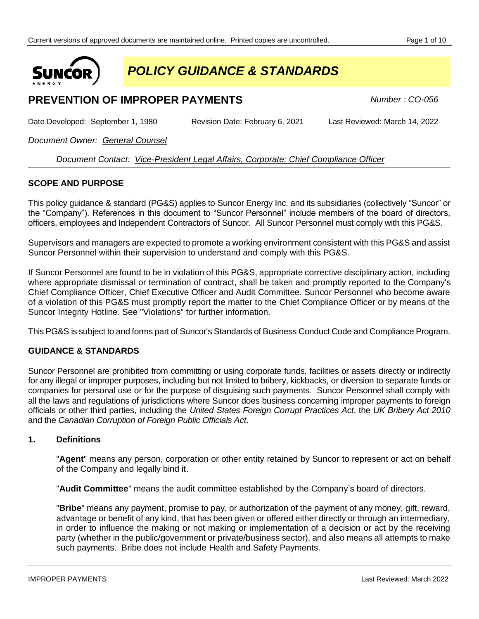

*POLICY GUIDANCE & STANDARDS*

# **PREVENTION OF IMPROPER PAYMENTS** Number: CO-056

Date Developed: September 1, 1980 Revision Date: February 6, 2021 Last Reviewed: March 14, 2022

*Document Owner: General Counsel*

*Document Contact: Vice-President Legal Affairs, Corporate; Chief Compliance Officer*

# **SCOPE AND PURPOSE**

This policy guidance & standard (PG&S) applies to Suncor Energy Inc. and its subsidiaries (collectively "Suncor" or the "Company"). References in this document to "Suncor Personnel" include members of the board of directors, officers, employees and Independent Contractors of Suncor. All Suncor Personnel must comply with this PG&S.

Supervisors and managers are expected to promote a working environment consistent with this PG&S and assist Suncor Personnel within their supervision to understand and comply with this PG&S.

If Suncor Personnel are found to be in violation of this PG&S, appropriate corrective disciplinary action, including where appropriate dismissal or termination of contract, shall be taken and promptly reported to the Company's Chief Compliance Officer, Chief Executive Officer and Audit Committee. Suncor Personnel who become aware of a violation of this PG&S must promptly report the matter to the Chief Compliance Officer or by means of the Suncor Integrity Hotline. See "Violations" for further information.

This PG&S is subject to and forms part of Suncor's Standards of Business Conduct Code and Compliance Program.

# **GUIDANCE & STANDARDS**

Suncor Personnel are prohibited from committing or using corporate funds, facilities or assets directly or indirectly for any illegal or improper purposes, including but not limited to bribery, kickbacks, or diversion to separate funds or companies for personal use or for the purpose of disguising such payments. Suncor Personnel shall comply with all the laws and regulations of jurisdictions where Suncor does business concerning improper payments to foreign officials or other third parties, including the *United States Foreign Corrupt Practices Act*, the *UK Bribery Act 2010* and the *Canadian Corruption of Foreign Public Officials Act*.

### **1. Definitions**

"**Agent**" means any person, corporation or other entity retained by Suncor to represent or act on behalf of the Company and legally bind it.

"**Audit Committee**" means the audit committee established by the Company's board of directors.

"**Bribe**" means any payment, promise to pay, or authorization of the payment of any money, gift, reward, advantage or benefit of any kind, that has been given or offered either directly or through an intermediary, in order to influence the making or not making or implementation of a decision or act by the receiving party (whether in the public/government or private/business sector), and also means all attempts to make such payments. Bribe does not include Health and Safety Payments.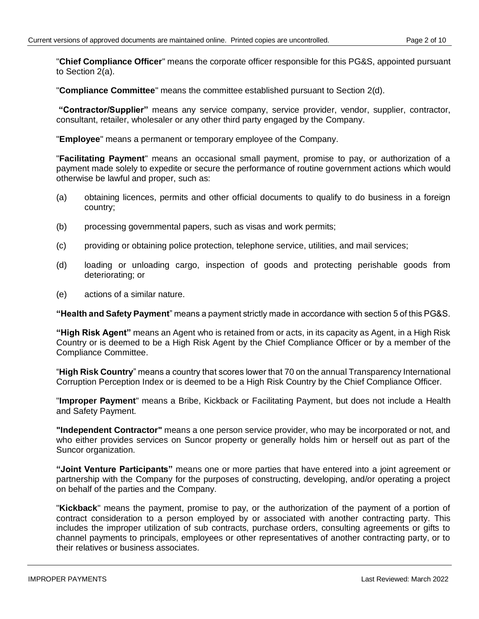"**Chief Compliance Officer**" means the corporate officer responsible for this PG&S, appointed pursuant to Section 2(a).

"**Compliance Committee**" means the committee established pursuant to Section 2(d).

**"Contractor/Supplier"** means any service company, service provider, vendor, supplier, contractor, consultant, retailer, wholesaler or any other third party engaged by the Company.

"**Employee**" means a permanent or temporary employee of the Company.

"**Facilitating Payment**" means an occasional small payment, promise to pay, or authorization of a payment made solely to expedite or secure the performance of routine government actions which would otherwise be lawful and proper, such as:

- (a) obtaining licences, permits and other official documents to qualify to do business in a foreign country;
- (b) processing governmental papers, such as visas and work permits;
- (c) providing or obtaining police protection, telephone service, utilities, and mail services;
- (d) loading or unloading cargo, inspection of goods and protecting perishable goods from deteriorating; or
- (e) actions of a similar nature.

**"Health and Safety Payment**" means a payment strictly made in accordance with section 5 of this PG&S.

**"High Risk Agent"** means an Agent who is retained from or acts, in its capacity as Agent, in a High Risk Country or is deemed to be a High Risk Agent by the Chief Compliance Officer or by a member of the Compliance Committee.

"**High Risk Country**" means a country that scores lower that 70 on the annual Transparency International Corruption Perception Index or is deemed to be a High Risk Country by the Chief Compliance Officer.

"**Improper Payment**" means a Bribe, Kickback or Facilitating Payment, but does not include a Health and Safety Payment.

**"Independent Contractor"** means a one person service provider, who may be incorporated or not, and who either provides services on Suncor property or generally holds him or herself out as part of the Suncor organization.

**"Joint Venture Participants"** means one or more parties that have entered into a joint agreement or partnership with the Company for the purposes of constructing, developing, and/or operating a project on behalf of the parties and the Company.

"**Kickback**" means the payment, promise to pay, or the authorization of the payment of a portion of contract consideration to a person employed by or associated with another contracting party. This includes the improper utilization of sub contracts, purchase orders, consulting agreements or gifts to channel payments to principals, employees or other representatives of another contracting party, or to their relatives or business associates.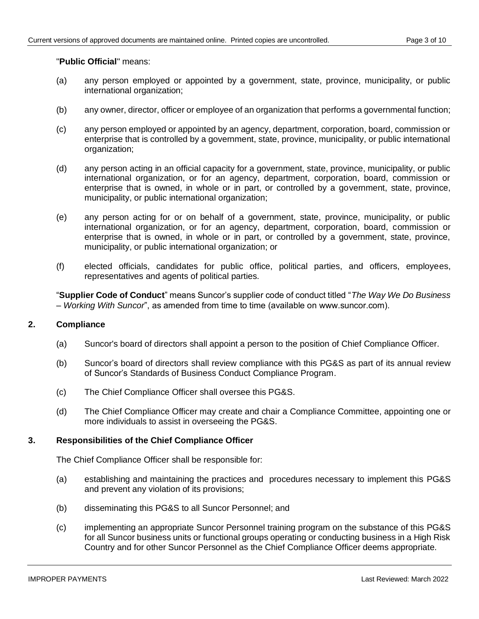## "**Public Official**" means:

- (a) any person employed or appointed by a government, state, province, municipality, or public international organization;
- (b) any owner, director, officer or employee of an organization that performs a governmental function;
- (c) any person employed or appointed by an agency, department, corporation, board, commission or enterprise that is controlled by a government, state, province, municipality, or public international organization;
- (d) any person acting in an official capacity for a government, state, province, municipality, or public international organization, or for an agency, department, corporation, board, commission or enterprise that is owned, in whole or in part, or controlled by a government, state, province, municipality, or public international organization;
- (e) any person acting for or on behalf of a government, state, province, municipality, or public international organization, or for an agency, department, corporation, board, commission or enterprise that is owned, in whole or in part, or controlled by a government, state, province, municipality, or public international organization; or
- (f) elected officials, candidates for public office, political parties, and officers, employees, representatives and agents of political parties.

"**Supplier Code of Conduct**" means Suncor's supplier code of conduct titled "*The Way We Do Business – Working With Suncor*", as amended from time to time (available on www.suncor.com).

# **2. Compliance**

- (a) Suncor's board of directors shall appoint a person to the position of Chief Compliance Officer.
- (b) Suncor's board of directors shall review compliance with this PG&S as part of its annual review of Suncor's Standards of Business Conduct Compliance Program.
- (c) The Chief Compliance Officer shall oversee this PG&S.
- (d) The Chief Compliance Officer may create and chair a Compliance Committee, appointing one or more individuals to assist in overseeing the PG&S.

### **3. Responsibilities of the Chief Compliance Officer**

The Chief Compliance Officer shall be responsible for:

- (a) establishing and maintaining the practices and procedures necessary to implement this PG&S and prevent any violation of its provisions;
- (b) disseminating this PG&S to all Suncor Personnel; and
- (c) implementing an appropriate Suncor Personnel training program on the substance of this PG&S for all Suncor business units or functional groups operating or conducting business in a High Risk Country and for other Suncor Personnel as the Chief Compliance Officer deems appropriate.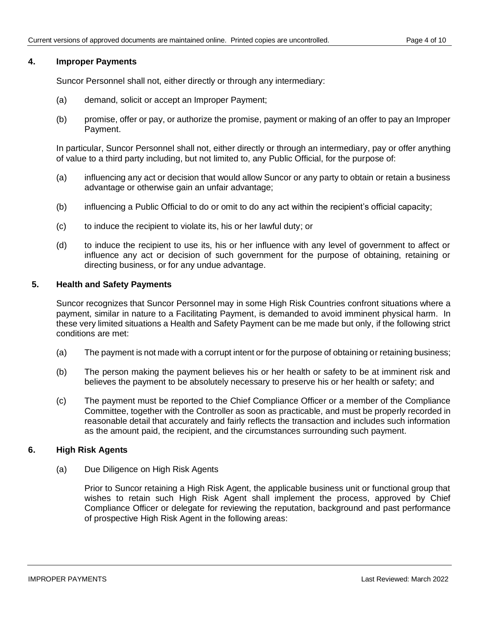## **4. Improper Payments**

Suncor Personnel shall not, either directly or through any intermediary:

- (a) demand, solicit or accept an Improper Payment;
- (b) promise, offer or pay, or authorize the promise, payment or making of an offer to pay an Improper Payment.

In particular, Suncor Personnel shall not, either directly or through an intermediary, pay or offer anything of value to a third party including, but not limited to, any Public Official, for the purpose of:

- (a) influencing any act or decision that would allow Suncor or any party to obtain or retain a business advantage or otherwise gain an unfair advantage;
- (b) influencing a Public Official to do or omit to do any act within the recipient's official capacity;
- (c) to induce the recipient to violate its, his or her lawful duty; or
- (d) to induce the recipient to use its, his or her influence with any level of government to affect or influence any act or decision of such government for the purpose of obtaining, retaining or directing business, or for any undue advantage.

# **5. Health and Safety Payments**

Suncor recognizes that Suncor Personnel may in some High Risk Countries confront situations where a payment, similar in nature to a Facilitating Payment, is demanded to avoid imminent physical harm. In these very limited situations a Health and Safety Payment can be me made but only, if the following strict conditions are met:

- (a) The payment is not made with a corrupt intent or for the purpose of obtaining or retaining business;
- (b) The person making the payment believes his or her health or safety to be at imminent risk and believes the payment to be absolutely necessary to preserve his or her health or safety; and
- (c) The payment must be reported to the Chief Compliance Officer or a member of the Compliance Committee, together with the Controller as soon as practicable, and must be properly recorded in reasonable detail that accurately and fairly reflects the transaction and includes such information as the amount paid, the recipient, and the circumstances surrounding such payment.

### **6. High Risk Agents**

(a) Due Diligence on High Risk Agents

Prior to Suncor retaining a High Risk Agent, the applicable business unit or functional group that wishes to retain such High Risk Agent shall implement the process, approved by Chief Compliance Officer or delegate for reviewing the reputation, background and past performance of prospective High Risk Agent in the following areas: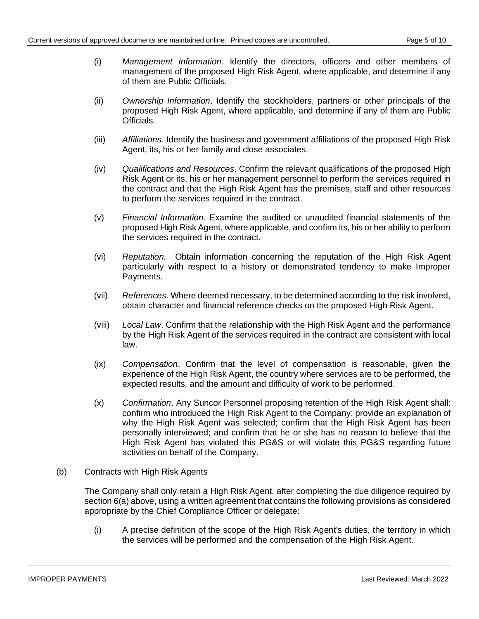- (i) *Management Information*. Identify the directors, officers and other members of management of the proposed High Risk Agent, where applicable, and determine if any of them are Public Officials.
- (ii) *Ownership Information*. Identify the stockholders, partners or other principals of the proposed High Risk Agent, where applicable, and determine if any of them are Public Officials.
- (iii) *Affiliations*. Identify the business and government affiliations of the proposed High Risk Agent, its, his or her family and close associates.
- (iv) *Qualifications and Resources*. Confirm the relevant qualifications of the proposed High Risk Agent or its, his or her management personnel to perform the services required in the contract and that the High Risk Agent has the premises, staff and other resources to perform the services required in the contract.
- (v) *Financial Information*. Examine the audited or unaudited financial statements of the proposed High Risk Agent, where applicable, and confirm its, his or her ability to perform the services required in the contract.
- (vi) *Reputation.* Obtain information concerning the reputation of the High Risk Agent particularly with respect to a history or demonstrated tendency to make Improper Payments.
- (vii) *References*. Where deemed necessary, to be determined according to the risk involved, obtain character and financial reference checks on the proposed High Risk Agent.
- (viii) *Local Law*. Confirm that the relationship with the High Risk Agent and the performance by the High Risk Agent of the services required in the contract are consistent with local law.
- (ix) *Compensation*. Confirm that the level of compensation is reasonable, given the experience of the High Risk Agent, the country where services are to be performed, the expected results, and the amount and difficulty of work to be performed.
- (x) *Confirmation*. Any Suncor Personnel proposing retention of the High Risk Agent shall: confirm who introduced the High Risk Agent to the Company; provide an explanation of why the High Risk Agent was selected; confirm that the High Risk Agent has been personally interviewed; and confirm that he or she has no reason to believe that the High Risk Agent has violated this PG&S or will violate this PG&S regarding future activities on behalf of the Company.
- (b) Contracts with High Risk Agents

The Company shall only retain a High Risk Agent, after completing the due diligence required by section 6(a) above, using a written agreement that contains the following provisions as considered appropriate by the Chief Compliance Officer or delegate:

(i) A precise definition of the scope of the High Risk Agent's duties, the territory in which the services will be performed and the compensation of the High Risk Agent.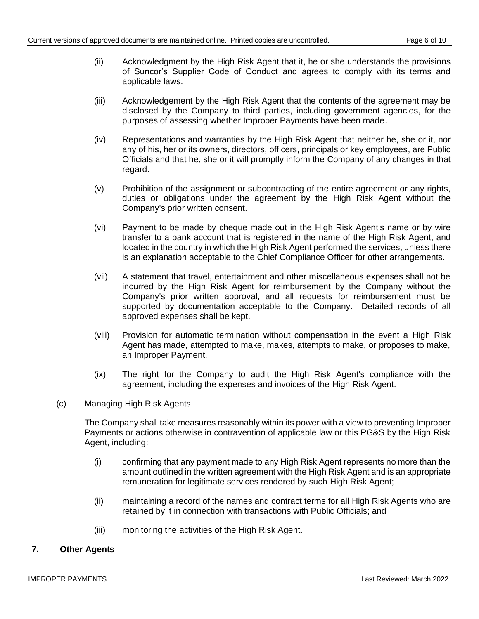- (ii) Acknowledgment by the High Risk Agent that it, he or she understands the provisions of Suncor's Supplier Code of Conduct and agrees to comply with its terms and applicable laws.
- (iii) Acknowledgement by the High Risk Agent that the contents of the agreement may be disclosed by the Company to third parties, including government agencies, for the purposes of assessing whether Improper Payments have been made.
- (iv) Representations and warranties by the High Risk Agent that neither he, she or it, nor any of his, her or its owners, directors, officers, principals or key employees, are Public Officials and that he, she or it will promptly inform the Company of any changes in that regard.
- (v) Prohibition of the assignment or subcontracting of the entire agreement or any rights, duties or obligations under the agreement by the High Risk Agent without the Company's prior written consent.
- (vi) Payment to be made by cheque made out in the High Risk Agent's name or by wire transfer to a bank account that is registered in the name of the High Risk Agent, and located in the country in which the High Risk Agent performed the services, unless there is an explanation acceptable to the Chief Compliance Officer for other arrangements.
- (vii) A statement that travel, entertainment and other miscellaneous expenses shall not be incurred by the High Risk Agent for reimbursement by the Company without the Company's prior written approval, and all requests for reimbursement must be supported by documentation acceptable to the Company. Detailed records of all approved expenses shall be kept.
- (viii) Provision for automatic termination without compensation in the event a High Risk Agent has made, attempted to make, makes, attempts to make, or proposes to make, an Improper Payment.
- (ix) The right for the Company to audit the High Risk Agent's compliance with the agreement, including the expenses and invoices of the High Risk Agent.
- (c) Managing High Risk Agents

The Company shall take measures reasonably within its power with a view to preventing Improper Payments or actions otherwise in contravention of applicable law or this PG&S by the High Risk Agent, including:

- (i) confirming that any payment made to any High Risk Agent represents no more than the amount outlined in the written agreement with the High Risk Agent and is an appropriate remuneration for legitimate services rendered by such High Risk Agent;
- (ii) maintaining a record of the names and contract terms for all High Risk Agents who are retained by it in connection with transactions with Public Officials; and
- (iii) monitoring the activities of the High Risk Agent.

# **7. Other Agents**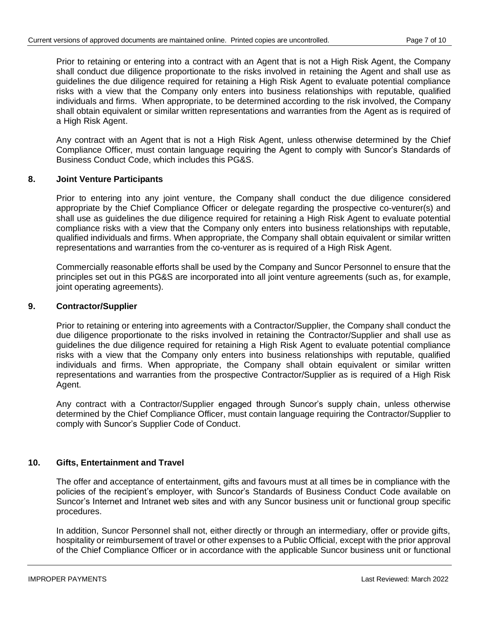Prior to retaining or entering into a contract with an Agent that is not a High Risk Agent, the Company shall conduct due diligence proportionate to the risks involved in retaining the Agent and shall use as guidelines the due diligence required for retaining a High Risk Agent to evaluate potential compliance risks with a view that the Company only enters into business relationships with reputable, qualified individuals and firms. When appropriate, to be determined according to the risk involved, the Company shall obtain equivalent or similar written representations and warranties from the Agent as is required of a High Risk Agent.

Any contract with an Agent that is not a High Risk Agent, unless otherwise determined by the Chief Compliance Officer, must contain language requiring the Agent to comply with Suncor's Standards of Business Conduct Code, which includes this PG&S.

## **8. Joint Venture Participants**

Prior to entering into any joint venture, the Company shall conduct the due diligence considered appropriate by the Chief Compliance Officer or delegate regarding the prospective co-venturer(s) and shall use as guidelines the due diligence required for retaining a High Risk Agent to evaluate potential compliance risks with a view that the Company only enters into business relationships with reputable, qualified individuals and firms. When appropriate, the Company shall obtain equivalent or similar written representations and warranties from the co-venturer as is required of a High Risk Agent.

Commercially reasonable efforts shall be used by the Company and Suncor Personnel to ensure that the principles set out in this PG&S are incorporated into all joint venture agreements (such as, for example, joint operating agreements).

## **9. Contractor/Supplier**

Prior to retaining or entering into agreements with a Contractor/Supplier, the Company shall conduct the due diligence proportionate to the risks involved in retaining the Contractor/Supplier and shall use as guidelines the due diligence required for retaining a High Risk Agent to evaluate potential compliance risks with a view that the Company only enters into business relationships with reputable, qualified individuals and firms. When appropriate, the Company shall obtain equivalent or similar written representations and warranties from the prospective Contractor/Supplier as is required of a High Risk Agent.

Any contract with a Contractor/Supplier engaged through Suncor's supply chain, unless otherwise determined by the Chief Compliance Officer, must contain language requiring the Contractor/Supplier to comply with Suncor's Supplier Code of Conduct.

# **10. Gifts, Entertainment and Travel**

The offer and acceptance of entertainment, gifts and favours must at all times be in compliance with the policies of the recipient's employer, with Suncor's Standards of Business Conduct Code available on Suncor's Internet and Intranet web sites and with any Suncor business unit or functional group specific procedures.

In addition, Suncor Personnel shall not, either directly or through an intermediary, offer or provide gifts, hospitality or reimbursement of travel or other expenses to a Public Official*,* except with the prior approval of the Chief Compliance Officer or in accordance with the applicable Suncor business unit or functional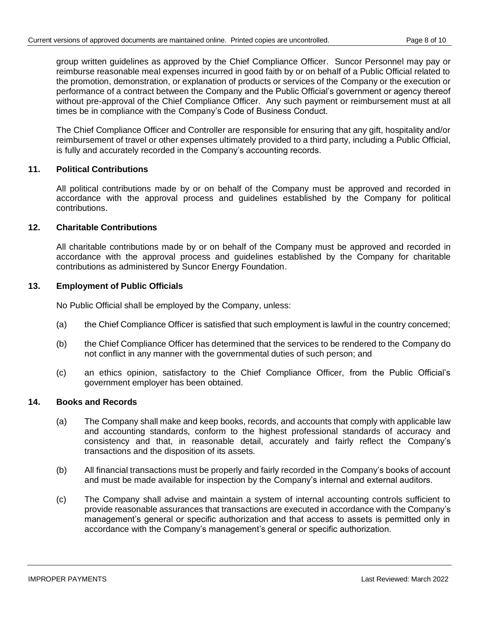group written guidelines as approved by the Chief Compliance Officer. Suncor Personnel may pay or reimburse reasonable meal expenses incurred in good faith by or on behalf of a Public Official related to the promotion, demonstration, or explanation of products or services of the Company or the execution or performance of a contract between the Company and the Public Official's government or agency thereof without pre-approval of the Chief Compliance Officer. Any such payment or reimbursement must at all times be in compliance with the Company's Code of Business Conduct.

The Chief Compliance Officer and Controller are responsible for ensuring that any gift, hospitality and/or reimbursement of travel or other expenses ultimately provided to a third party, including a Public Official, is fully and accurately recorded in the Company's accounting records.

# **11. Political Contributions**

All political contributions made by or on behalf of the Company must be approved and recorded in accordance with the approval process and guidelines established by the Company for political contributions.

## **12. Charitable Contributions**

All charitable contributions made by or on behalf of the Company must be approved and recorded in accordance with the approval process and guidelines established by the Company for charitable contributions as administered by Suncor Energy Foundation.

## **13. Employment of Public Officials**

No Public Official shall be employed by the Company, unless:

- (a) the Chief Compliance Officer is satisfied that such employment is lawful in the country concerned;
- (b) the Chief Compliance Officer has determined that the services to be rendered to the Company do not conflict in any manner with the governmental duties of such person; and
- (c) an ethics opinion, satisfactory to the Chief Compliance Officer, from the Public Official's government employer has been obtained.

## **14. Books and Records**

- (a) The Company shall make and keep books, records, and accounts that comply with applicable law and accounting standards, conform to the highest professional standards of accuracy and consistency and that, in reasonable detail, accurately and fairly reflect the Company's transactions and the disposition of its assets.
- (b) All financial transactions must be properly and fairly recorded in the Company's books of account and must be made available for inspection by the Company's internal and external auditors.
- (c) The Company shall advise and maintain a system of internal accounting controls sufficient to provide reasonable assurances that transactions are executed in accordance with the Company's management's general or specific authorization and that access to assets is permitted only in accordance with the Company's management's general or specific authorization.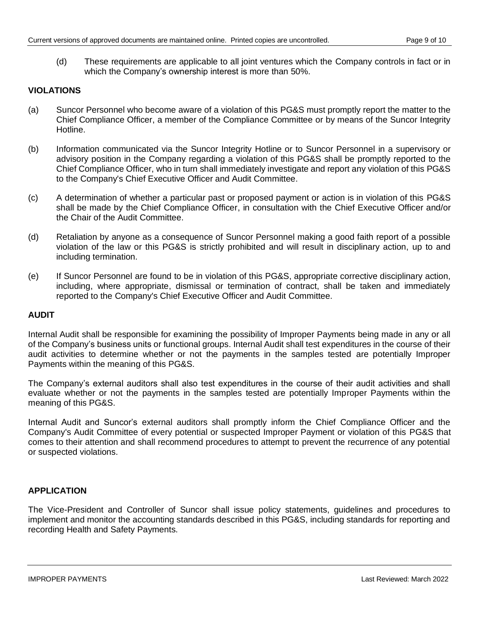(d) These requirements are applicable to all joint ventures which the Company controls in fact or in which the Company's ownership interest is more than 50%.

## **VIOLATIONS**

- (a) Suncor Personnel who become aware of a violation of this PG&S must promptly report the matter to the Chief Compliance Officer, a member of the Compliance Committee or by means of the Suncor Integrity Hotline.
- (b) Information communicated via the Suncor Integrity Hotline or to Suncor Personnel in a supervisory or advisory position in the Company regarding a violation of this PG&S shall be promptly reported to the Chief Compliance Officer, who in turn shall immediately investigate and report any violation of this PG&S to the Company's Chief Executive Officer and Audit Committee.
- (c) A determination of whether a particular past or proposed payment or action is in violation of this PG&S shall be made by the Chief Compliance Officer, in consultation with the Chief Executive Officer and/or the Chair of the Audit Committee.
- (d) Retaliation by anyone as a consequence of Suncor Personnel making a good faith report of a possible violation of the law or this PG&S is strictly prohibited and will result in disciplinary action, up to and including termination.
- (e) If Suncor Personnel are found to be in violation of this PG&S, appropriate corrective disciplinary action, including, where appropriate, dismissal or termination of contract, shall be taken and immediately reported to the Company's Chief Executive Officer and Audit Committee.

### **AUDIT**

Internal Audit shall be responsible for examining the possibility of Improper Payments being made in any or all of the Company's business units or functional groups. Internal Audit shall test expenditures in the course of their audit activities to determine whether or not the payments in the samples tested are potentially Improper Payments within the meaning of this PG&S.

The Company's external auditors shall also test expenditures in the course of their audit activities and shall evaluate whether or not the payments in the samples tested are potentially Improper Payments within the meaning of this PG&S.

Internal Audit and Suncor's external auditors shall promptly inform the Chief Compliance Officer and the Company's Audit Committee of every potential or suspected Improper Payment or violation of this PG&S that comes to their attention and shall recommend procedures to attempt to prevent the recurrence of any potential or suspected violations.

# **APPLICATION**

The Vice-President and Controller of Suncor shall issue policy statements, guidelines and procedures to implement and monitor the accounting standards described in this PG&S, including standards for reporting and recording Health and Safety Payments.